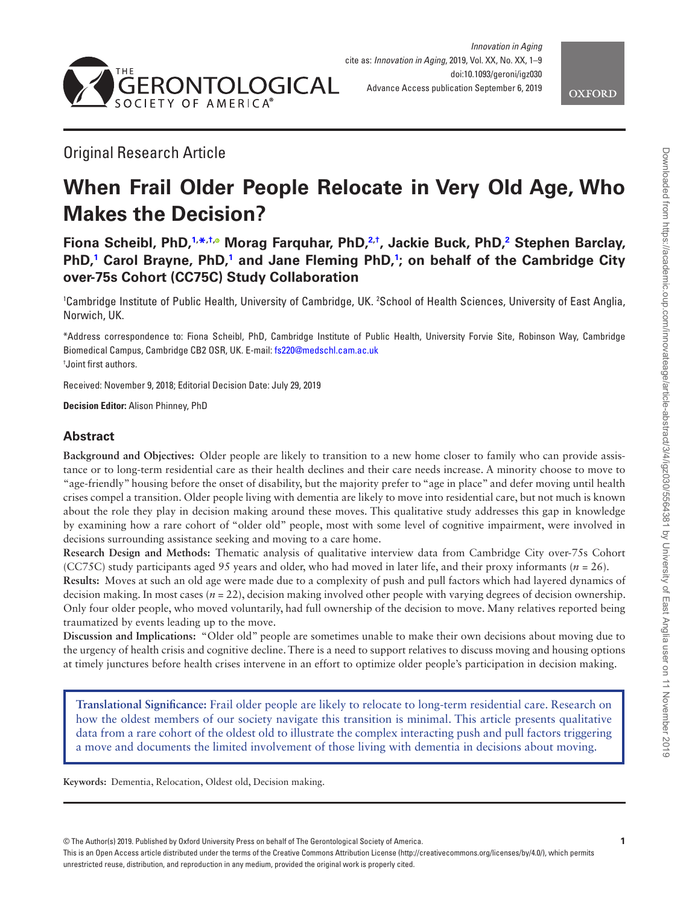



# Original Research Article

# **When Frail Older People Relocate in Very Old Age, Who Makes the Decision?**

**Fiona Scheibl, PhD,[1,](#page-0-0) [\\*](#page-0-0)[,†](#page-0-1)[,](http://orcid.org/0000-0002-9115-1247) Morag Farquhar, PhD,[2](#page-0-2)[,†](#page-0-0) , Jackie Buck, PhD,[2](#page-0-2) Stephen Barclay, PhD[,1](#page-0-0) Carol Brayne, PhD,[1](#page-0-0) and Jane Fleming PhD[,1](#page-0-0) ; on behalf of the Cambridge City over-75s Cohort (CC75C) Study Collaboration**

<span id="page-0-2"></span><span id="page-0-0"></span>'Cambridge Institute of Public Health, University of Cambridge, UK. 'School of Health Sciences, University of East Anglia, Norwich, UK.

<span id="page-0-1"></span>\*Address correspondence to: Fiona Scheibl, PhD, Cambridge Institute of Public Health, University Forvie Site, Robinson Way, Cambridge Biomedical Campus, Cambridge CB2 OSR, UK. E-mail: [fs220@medschl.cam.ac.uk](mailto:fs220@medschl.cam.ac.uk?subject=) † Joint first authors.

Received: November 9, 2018; Editorial Decision Date: July 29, 2019

**Decision Editor:** Alison Phinney, PhD

# **Abstract**

**Background and Objectives:** Older people are likely to transition to a new home closer to family who can provide assistance or to long-term residential care as their health declines and their care needs increase. A minority choose to move to "age-friendly" housing before the onset of disability, but the majority prefer to "age in place" and defer moving until health crises compel a transition. Older people living with dementia are likely to move into residential care, but not much is known about the role they play in decision making around these moves. This qualitative study addresses this gap in knowledge by examining how a rare cohort of "older old" people, most with some level of cognitive impairment, were involved in decisions surrounding assistance seeking and moving to a care home.

**Research Design and Methods:** Thematic analysis of qualitative interview data from Cambridge City over-75s Cohort (CC75C) study participants aged 95 years and older, who had moved in later life, and their proxy informants (*n* = 26).

**Results:** Moves at such an old age were made due to a complexity of push and pull factors which had layered dynamics of decision making. In most cases (*n* = 22), decision making involved other people with varying degrees of decision ownership. Only four older people, who moved voluntarily, had full ownership of the decision to move. Many relatives reported being traumatized by events leading up to the move.

**Discussion and Implications:** "Older old" people are sometimes unable to make their own decisions about moving due to the urgency of health crisis and cognitive decline. There is a need to support relatives to discuss moving and housing options at timely junctures before health crises intervene in an effort to optimize older people's participation in decision making.

**Translational Significance:** Frail older people are likely to relocate to long-term residential care. Research on how the oldest members of our society navigate this transition is minimal. This article presents qualitative data from a rare cohort of the oldest old to illustrate the complex interacting push and pull factors triggering a move and documents the limited involvement of those living with dementia in decisions about moving.

**Keywords:** Dementia, Relocation, Oldest old, Decision making.

© The Author(s) 2019. Published by Oxford University Press on behalf of The Gerontological Society of America.

This is an Open Access article distributed under the terms of the Creative Commons Attribution License (http://creativecommons.org/licenses/by/4.0/), which permits unrestricted reuse, distribution, and reproduction in any medium, provided the original work is properly cited.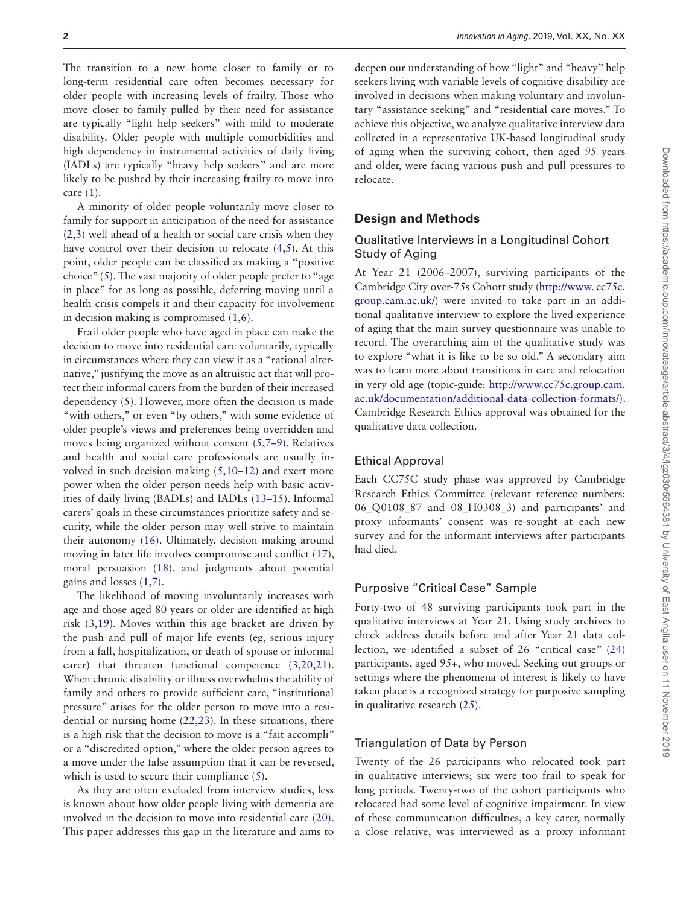The transition to a new home closer to family or to long-term residential care often becomes necessary for older people with increasing levels of frailty. Those who move closer to family pulled by their need for assistance are typically "light help seekers" with mild to moderate disability. Older people with multiple comorbidities and high dependency in instrumental activities of daily living (IADLs) are typically "heavy help seekers" and are more likely to be pushed by their increasing frailty to move into care  $(1)$  $(1)$ .

A minority of older people voluntarily move closer to family for support in anticipation of the need for assistance ([2](#page-7-1)[,3\)](#page-7-2) well ahead of a health or social care crisis when they have control over their decision to relocate  $(4,5)$  $(4,5)$  $(4,5)$  $(4,5)$ . At this point, older people can be classified as making a "positive choice" [\(5\)](#page-7-4). The vast majority of older people prefer to "age in place" for as long as possible, deferring moving until a health crisis compels it and their capacity for involvement in decision making is compromised ([1](#page-7-0)[,6](#page-7-5)).

Frail older people who have aged in place can make the decision to move into residential care voluntarily, typically in circumstances where they can view it as a "rational alternative," justifying the move as an altruistic act that will protect their informal carers from the burden of their increased dependency [\(5](#page-7-4)). However, more often the decision is made "with others," or even "by others," with some evidence of older people's views and preferences being overridden and moves being organized without consent [\(5,](#page-7-4)7–9). Relatives and health and social care professionals are usually involved in such decision making  $(5,10-12)$  $(5,10-12)$  $(5,10-12)$  and exert more power when the older person needs help with basic activities of daily living (BADLs) and IADLs (13–15). Informal carers' goals in these circumstances prioritize safety and security, while the older person may well strive to maintain their autonomy [\(16\)](#page-8-0). Ultimately, decision making around moving in later life involves compromise and conflict [\(17](#page-8-1)), moral persuasion [\(18\)](#page-8-2), and judgments about potential gains and losses ([1,](#page-7-0)[7](#page-7-6)).

The likelihood of moving involuntarily increases with age and those aged 80 years or older are identified at high risk  $(3,19)$  $(3,19)$  $(3,19)$ . Moves within this age bracket are driven by the push and pull of major life events (eg, serious injury from a fall, hospitalization, or death of spouse or informal carer) that threaten functional competence [\(3,](#page-7-2)[20](#page-8-4)[,21](#page-8-5)). When chronic disability or illness overwhelms the ability of family and others to provide sufficient care, "institutional pressure" arises for the older person to move into a residential or nursing home  $(22,23)$  $(22,23)$ . In these situations, there is a high risk that the decision to move is a "fait accompli" or a "discredited option," where the older person agrees to a move under the false assumption that it can be reversed, which is used to secure their compliance  $(5)$  $(5)$ .

As they are often excluded from interview studies, less is known about how older people living with dementia are involved in the decision to move into residential care [\(20](#page-8-4)). This paper addresses this gap in the literature and aims to

deepen our understanding of how "light" and "heavy" help seekers living with variable levels of cognitive disability are involved in decisions when making voluntary and involuntary "assistance seeking" and "residential care moves." To achieve this objective, we analyze qualitative interview data collected in a representative UK-based longitudinal study of aging when the surviving cohort, then aged 95 years and older, were facing various push and pull pressures to relocate.

#### **Design and Methods**

# Qualitative Interviews in a Longitudinal Cohort Study of Aging

At Year 21 (2006–2007), surviving participants of the Cambridge City over-75s Cohort study [\(http://www. cc75c.](http://www. cc75c.group.cam.ac.uk/) [group.cam.ac.uk/](http://www. cc75c.group.cam.ac.uk/)) were invited to take part in an additional qualitative interview to explore the lived experience of aging that the main survey questionnaire was unable to record. The overarching aim of the qualitative study was to explore "what it is like to be so old." A secondary aim was to learn more about transitions in care and relocation in very old age (topic-guide: [http://www.cc75c.group.cam.](http://www.cc75c.group.cam.ac.uk/documentation/additional-data-collection-formats/) [ac.uk/documentation/additional-data-collection-formats/](http://www.cc75c.group.cam.ac.uk/documentation/additional-data-collection-formats/)). Cambridge Research Ethics approval was obtained for the qualitative data collection.

#### Ethical Approval

Each CC75C study phase was approved by Cambridge Research Ethics Committee (relevant reference numbers: 06\_Q0108\_87 and 08\_H0308\_3) and participants' and proxy informants' consent was re-sought at each new survey and for the informant interviews after participants had died.

#### Purposive "Critical Case" Sample

Forty-two of 48 surviving participants took part in the qualitative interviews at Year 21. Using study archives to check address details before and after Year 21 data collection, we identified a subset of 26 "critical case" [\(24\)](#page-8-8) participants, aged 95+, who moved. Seeking out groups or settings where the phenomena of interest is likely to have taken place is a recognized strategy for purposive sampling in qualitative research  $(25)$  $(25)$ .

# Triangulation of Data by Person

Twenty of the 26 participants who relocated took part in qualitative interviews; six were too frail to speak for long periods. Twenty-two of the cohort participants who relocated had some level of cognitive impairment. In view of these communication difficulties, a key carer, normally a close relative, was interviewed as a proxy informant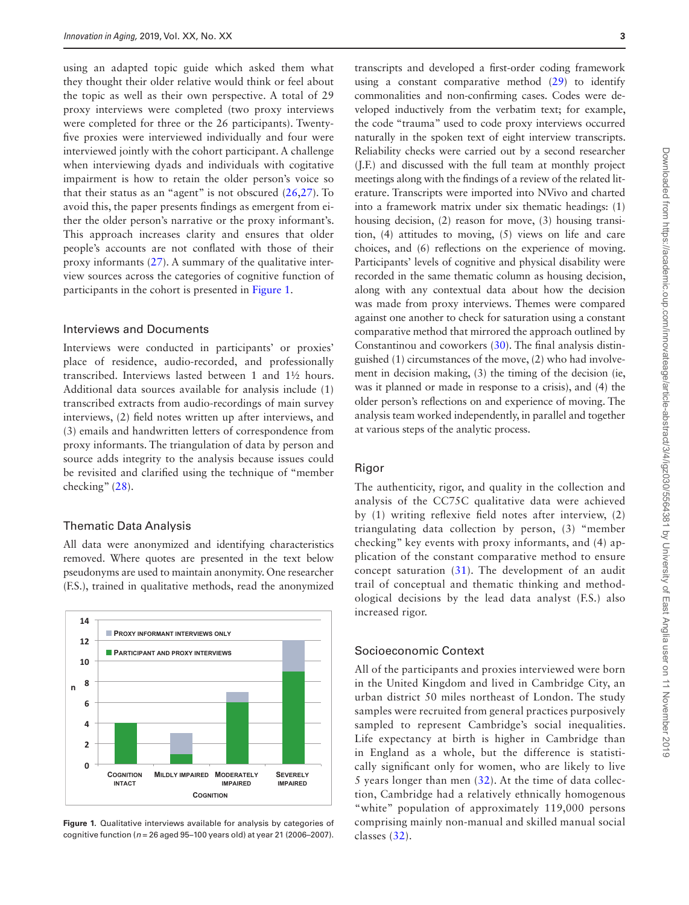using an adapted topic guide which asked them what they thought their older relative would think or feel about the topic as well as their own perspective. A total of 29 proxy interviews were completed (two proxy interviews were completed for three or the 26 participants). Twentyfive proxies were interviewed individually and four were interviewed jointly with the cohort participant. A challenge when interviewing dyads and individuals with cogitative impairment is how to retain the older person's voice so that their status as an "agent" is not obscured [\(26](#page-8-10),[27](#page-8-11)). To avoid this, the paper presents findings as emergent from either the older person's narrative or the proxy informant's. This approach increases clarity and ensures that older people's accounts are not conflated with those of their proxy informants [\(27\)](#page-8-11). A summary of the qualitative interview sources across the categories of cognitive function of participants in the cohort is presented in [Figure 1](#page-2-0).

#### Interviews and Documents

Interviews were conducted in participants' or proxies' place of residence, audio-recorded, and professionally transcribed. Interviews lasted between 1 and 1½ hours. Additional data sources available for analysis include (1) transcribed extracts from audio-recordings of main survey interviews, (2) field notes written up after interviews, and (3) emails and handwritten letters of correspondence from proxy informants. The triangulation of data by person and source adds integrity to the analysis because issues could be revisited and clarified using the technique of "member checking" ([28\)](#page-8-12).

#### Thematic Data Analysis

All data were anonymized and identifying characteristics removed. Where quotes are presented in the text below pseudonyms are used to maintain anonymity. One researcher (F.S.), trained in qualitative methods, read the anonymized



<span id="page-2-0"></span>**Figure 1.** Qualitative interviews available for analysis by categories of cognitive function (*n* = 26 aged 95–100 years old) at year 21 (2006–2007).

transcripts and developed a first-order coding framework using a constant comparative method [\(29](#page-8-13)) to identify commonalities and non-confirming cases. Codes were developed inductively from the verbatim text; for example, the code "trauma" used to code proxy interviews occurred naturally in the spoken text of eight interview transcripts. Reliability checks were carried out by a second researcher (J.F.) and discussed with the full team at monthly project meetings along with the findings of a review of the related literature. Transcripts were imported into NVivo and charted into a framework matrix under six thematic headings: (1) housing decision, (2) reason for move, (3) housing transition, (4) attitudes to moving, (5) views on life and care choices, and (6) reflections on the experience of moving. Participants' levels of cognitive and physical disability were recorded in the same thematic column as housing decision, along with any contextual data about how the decision was made from proxy interviews. Themes were compared against one another to check for saturation using a constant comparative method that mirrored the approach outlined by Constantinou and coworkers [\(30](#page-8-14)). The final analysis distinguished (1) circumstances of the move, (2) who had involvement in decision making, (3) the timing of the decision (ie, was it planned or made in response to a crisis), and (4) the older person's reflections on and experience of moving. The analysis team worked independently, in parallel and together at various steps of the analytic process.

#### Rigor

The authenticity, rigor, and quality in the collection and analysis of the CC75C qualitative data were achieved by (1) writing reflexive field notes after interview, (2) triangulating data collection by person, (3) "member checking" key events with proxy informants, and (4) application of the constant comparative method to ensure concept saturation [\(31\)](#page-8-15). The development of an audit trail of conceptual and thematic thinking and methodological decisions by the lead data analyst (F.S.) also increased rigor.

#### Socioeconomic Context

All of the participants and proxies interviewed were born in the United Kingdom and lived in Cambridge City, an urban district 50 miles northeast of London. The study samples were recruited from general practices purposively sampled to represent Cambridge's social inequalities. Life expectancy at birth is higher in Cambridge than in England as a whole, but the difference is statistically significant only for women, who are likely to live 5 years longer than men  $(32)$ . At the time of data collection, Cambridge had a relatively ethnically homogenous "white" population of approximately 119,000 persons comprising mainly non-manual and skilled manual social classes ([32](#page-8-16)).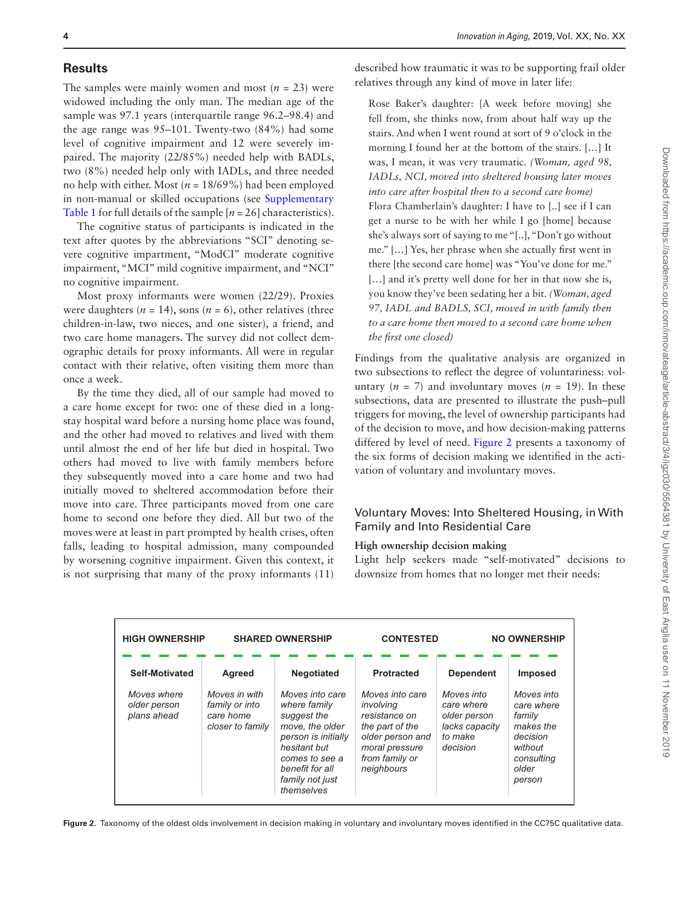# **Results**

The samples were mainly women and most  $(n = 23)$  were widowed including the only man. The median age of the sample was 97.1 years (interquartile range 96.2–98.4) and the age range was 95–101. Twenty-two (84%) had some level of cognitive impairment and 12 were severely impaired. The majority (22/85%) needed help with BADLs, two (8%) needed help only with IADLs, and three needed no help with either. Most (*n* = 18/69%) had been employed in non-manual or skilled occupations (see [Supplementary](http://academic.oup.com/innovateage/article-lookup/doi/10.1093/geroni/igz030#supplementary-data)  [Table 1](http://academic.oup.com/innovateage/article-lookup/doi/10.1093/geroni/igz030#supplementary-data) for full details of the sample  $[n = 26]$  characteristics).

The cognitive status of participants is indicated in the text after quotes by the abbreviations "SCI" denoting severe cognitive impartment, "ModCI" moderate cognitive impairment, "MCI" mild cognitive impairment, and "NCI" no cognitive impairment.

Most proxy informants were women (22/29). Proxies were daughters ( $n = 14$ ), sons ( $n = 6$ ), other relatives (three children-in-law, two nieces, and one sister), a friend, and two care home managers. The survey did not collect demographic details for proxy informants. All were in regular contact with their relative, often visiting them more than once a week.

By the time they died, all of our sample had moved to a care home except for two: one of these died in a longstay hospital ward before a nursing home place was found, and the other had moved to relatives and lived with them until almost the end of her life but died in hospital. Two others had moved to live with family members before they subsequently moved into a care home and two had initially moved to sheltered accommodation before their move into care. Three participants moved from one care home to second one before they died. All but two of the moves were at least in part prompted by health crises, often falls, leading to hospital admission, many compounded by worsening cognitive impairment. Given this context, it is not surprising that many of the proxy informants (11)

described how traumatic it was to be supporting frail older relatives through any kind of move in later life:

Rose Baker's daughter: {A week before moving} she fell from, she thinks now, from about half way up the stairs. And when I went round at sort of 9 o'clock in the morning I found her at the bottom of the stairs. […] It was, I mean, it was very traumatic. *(Woman, aged 98, IADLs, NCI, moved into sheltered housing later moves into care after hospital then to a second care home)* Flora Chamberlain's daughter: I have to [..] see if I can get a nurse to be with her while I go [home] because she's always sort of saying to me "[..], "Don't go without me." […] Yes, her phrase when she actually first went in there [the second care home] was "You've done for me." [...] and it's pretty well done for her in that now she is, you know they've been sedating her a bit. *(Woman, aged 97, IADL and BADLS, SCI, moved in with family then to a care home then moved to a second care home when the first one closed)*

Findings from the qualitative analysis are organized in two subsections to reflect the degree of voluntariness: voluntary  $(n = 7)$  and involuntary moves  $(n = 19)$ . In these subsections, data are presented to illustrate the push–pull triggers for moving, the level of ownership participants had of the decision to move, and how decision-making patterns differed by level of need. [Figure 2](#page-3-0) presents a taxonomy of the six forms of decision making we identified in the activation of voluntary and involuntary moves.

# Voluntary Moves: Into Sheltered Housing, in With Family and Into Residential Care

# **High ownership decision making**

Light help seekers made "self-motivated" decisions to downsize from homes that no longer met their needs:

| <b>HIGH OWNERSHIP</b><br><b>SHARED OWNERSHIP</b> |                                                                  |                                                                                                                                                                                | <b>CONTESTED</b>                                                                                                                       |                                                                                   | <b>NO OWNERSHIP</b>                                                                                     |
|--------------------------------------------------|------------------------------------------------------------------|--------------------------------------------------------------------------------------------------------------------------------------------------------------------------------|----------------------------------------------------------------------------------------------------------------------------------------|-----------------------------------------------------------------------------------|---------------------------------------------------------------------------------------------------------|
| Self-Motivated                                   | <b>Agreed</b>                                                    | <b>Negotiated</b>                                                                                                                                                              | <b>Protracted</b>                                                                                                                      | <b>Dependent</b>                                                                  | <b>Imposed</b>                                                                                          |
| Moves where<br>older person<br>plans ahead       | Moves in with<br>family or into<br>care home<br>closer to family | Moves into care<br>where family<br>suggest the<br>move, the older<br>person is initially<br>hesitant but<br>comes to see a<br>benefit for all<br>family not just<br>themselves | Moves into care<br>involvina<br>resistance on<br>the part of the<br>older person and<br>moral pressure<br>from family or<br>neighbours | Moves into<br>care where<br>older person<br>lacks capacity<br>to make<br>decision | Moves into<br>care where<br>family<br>makes the<br>decision<br>without<br>consulting<br>older<br>person |

<span id="page-3-0"></span>**Figure 2.** Taxonomy of the oldest olds involvement in decision making in voluntary and involuntary moves identified in the CC75C qualitative data.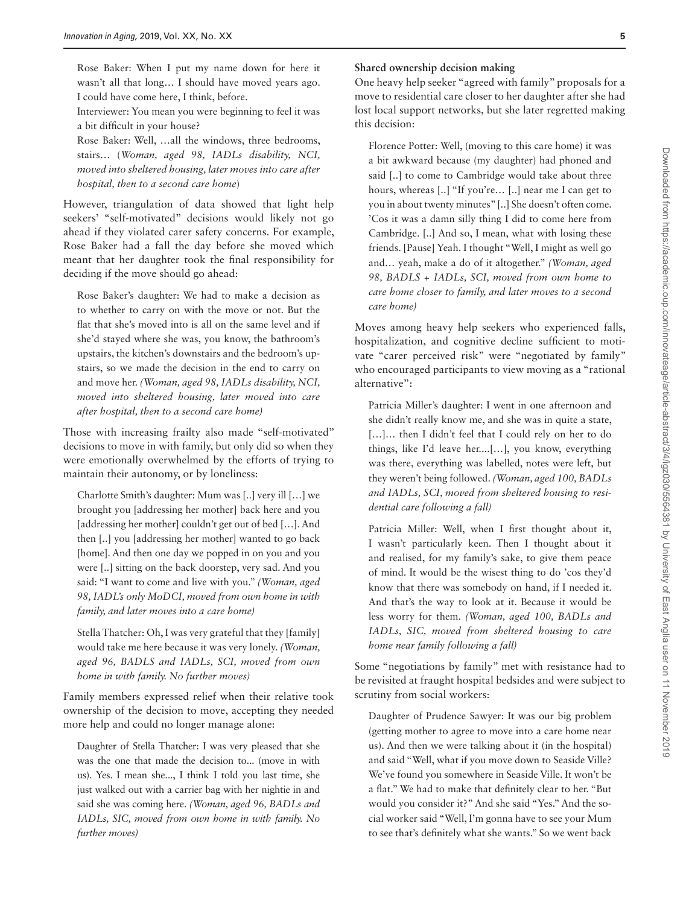Rose Baker: When I put my name down for here it wasn't all that long… I should have moved years ago. I could have come here, I think, before.

Interviewer: You mean you were beginning to feel it was a bit difficult in your house?

Rose Baker: Well, …all the windows, three bedrooms, stairs… (*Woman, aged 98, IADLs disability, NCI, moved into sheltered housing, later moves into care after hospital, then to a second care home*)

However, triangulation of data showed that light help seekers' "self-motivated" decisions would likely not go ahead if they violated carer safety concerns. For example, Rose Baker had a fall the day before she moved which meant that her daughter took the final responsibility for deciding if the move should go ahead:

Rose Baker's daughter: We had to make a decision as to whether to carry on with the move or not. But the flat that she's moved into is all on the same level and if she'd stayed where she was, you know, the bathroom's upstairs, the kitchen's downstairs and the bedroom's upstairs, so we made the decision in the end to carry on and move her. *(Woman, aged 98, IADLs disability, NCI, moved into sheltered housing, later moved into care after hospital, then to a second care home)*

Those with increasing frailty also made "self-motivated" decisions to move in with family, but only did so when they were emotionally overwhelmed by the efforts of trying to maintain their autonomy, or by loneliness:

Charlotte Smith's daughter: Mum was [..] very ill […] we brought you [addressing her mother] back here and you [addressing her mother] couldn't get out of bed […]. And then [..] you [addressing her mother] wanted to go back [home]. And then one day we popped in on you and you were [..] sitting on the back doorstep, very sad. And you said: "I want to come and live with you." *(Woman, aged 98, IADL's only MoDCI, moved from own home in with family, and later moves into a care home)*

Stella Thatcher: Oh, I was very grateful that they [family] would take me here because it was very lonely. *(Woman, aged 96, BADLS and IADLs, SCI, moved from own home in with family. No further moves)*

Family members expressed relief when their relative took ownership of the decision to move, accepting they needed more help and could no longer manage alone:

Daughter of Stella Thatcher: I was very pleased that she was the one that made the decision to... (move in with us). Yes. I mean she..., I think I told you last time, she just walked out with a carrier bag with her nightie in and said she was coming here. *(Woman, aged 96, BADLs and IADLs, SIC, moved from own home in with family. No further moves)*

#### **Shared ownership decision making**

One heavy help seeker "agreed with family" proposals for a move to residential care closer to her daughter after she had lost local support networks, but she later regretted making this decision:

Florence Potter: Well, (moving to this care home) it was a bit awkward because (my daughter) had phoned and said [..] to come to Cambridge would take about three hours, whereas [..] "If you're… [..] near me I can get to you in about twenty minutes" [..] She doesn't often come. 'Cos it was a damn silly thing I did to come here from Cambridge. [..] And so, I mean, what with losing these friends. [Pause] Yeah. I thought "Well, I might as well go and… yeah, make a do of it altogether." *(Woman, aged 98, BADLS + IADLs, SCI, moved from own home to care home closer to family, and later moves to a second care home)*

Moves among heavy help seekers who experienced falls, hospitalization, and cognitive decline sufficient to motivate "carer perceived risk" were "negotiated by family" who encouraged participants to view moving as a "rational alternative":

Patricia Miller's daughter: I went in one afternoon and she didn't really know me, and she was in quite a state, [...]... then I didn't feel that I could rely on her to do things, like I'd leave her....[…], you know, everything was there, everything was labelled, notes were left, but they weren't being followed. *(Woman, aged 100, BADLs and IADLs, SCI, moved from sheltered housing to residential care following a fall)*

Patricia Miller: Well, when I first thought about it, I wasn't particularly keen. Then I thought about it and realised, for my family's sake, to give them peace of mind. It would be the wisest thing to do 'cos they'd know that there was somebody on hand, if I needed it. And that's the way to look at it. Because it would be less worry for them. *(Woman, aged 100, BADLs and IADLs, SIC, moved from sheltered housing to care home near family following a fall)*

Some "negotiations by family" met with resistance had to be revisited at fraught hospital bedsides and were subject to scrutiny from social workers:

Daughter of Prudence Sawyer: It was our big problem (getting mother to agree to move into a care home near us). And then we were talking about it (in the hospital) and said "Well, what if you move down to Seaside Ville? We've found you somewhere in Seaside Ville. It won't be a flat." We had to make that definitely clear to her. "But would you consider it?" And she said "Yes." And the social worker said "Well, I'm gonna have to see your Mum to see that's definitely what she wants." So we went back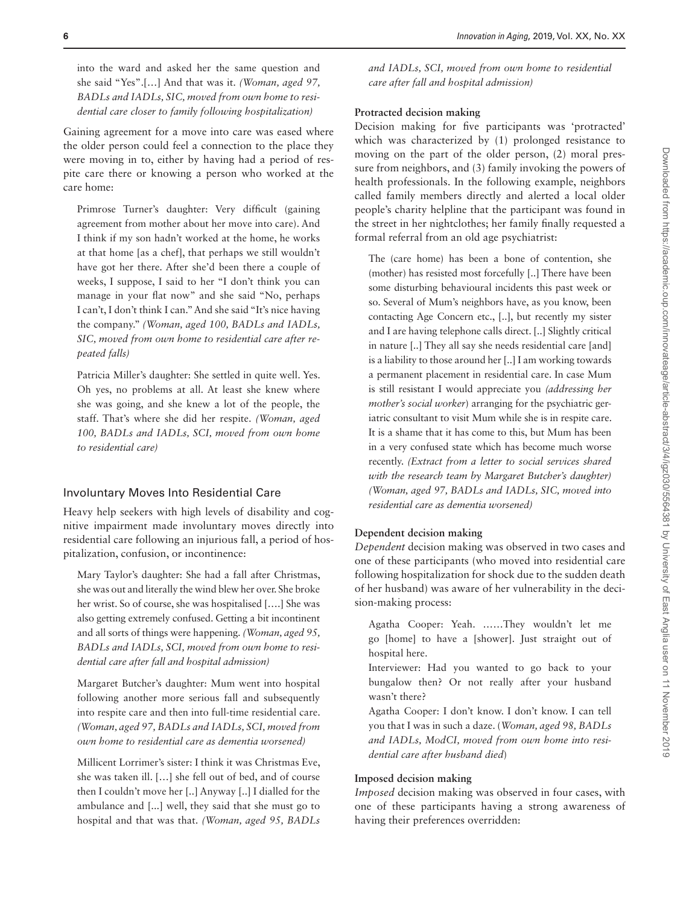into the ward and asked her the same question and she said "Yes".[…] And that was it. *(Woman, aged 97, BADLs and IADLs, SIC, moved from own home to residential care closer to family following hospitalization)*

Gaining agreement for a move into care was eased where the older person could feel a connection to the place they were moving in to, either by having had a period of respite care there or knowing a person who worked at the care home:

Primrose Turner's daughter: Very difficult (gaining agreement from mother about her move into care). And I think if my son hadn't worked at the home, he works at that home [as a chef], that perhaps we still wouldn't have got her there. After she'd been there a couple of weeks, I suppose, I said to her "I don't think you can manage in your flat now" and she said "No, perhaps I can't, I don't think I can." And she said "It's nice having the company." *(Woman, aged 100, BADLs and IADLs, SIC, moved from own home to residential care after repeated falls)*

Patricia Miller's daughter: She settled in quite well. Yes. Oh yes, no problems at all. At least she knew where she was going, and she knew a lot of the people, the staff. That's where she did her respite. *(Woman, aged 100, BADLs and IADLs, SCI, moved from own home to residential care)*

# Involuntary Moves Into Residential Care

Heavy help seekers with high levels of disability and cognitive impairment made involuntary moves directly into residential care following an injurious fall, a period of hospitalization, confusion, or incontinence:

Mary Taylor's daughter: She had a fall after Christmas, she was out and literally the wind blew her over. She broke her wrist. So of course, she was hospitalised [….] She was also getting extremely confused. Getting a bit incontinent and all sorts of things were happening. *(Woman, aged 95, BADLs and IADLs, SCI, moved from own home to residential care after fall and hospital admission)*

Margaret Butcher's daughter: Mum went into hospital following another more serious fall and subsequently into respite care and then into full-time residential care. *(Woman, aged 97, BADLs and IADLs, SCI, moved from own home to residential care as dementia worsened)*

Millicent Lorrimer's sister: I think it was Christmas Eve, she was taken ill. […] she fell out of bed, and of course then I couldn't move her [..] Anyway [..] I dialled for the ambulance and [...] well, they said that she must go to hospital and that was that. *(Woman, aged 95, BADLs*  *and IADLs, SCI, moved from own home to residential care after fall and hospital admission)*

#### **Protracted decision making**

Decision making for five participants was 'protracted' which was characterized by (1) prolonged resistance to moving on the part of the older person, (2) moral pressure from neighbors, and (3) family invoking the powers of health professionals. In the following example, neighbors called family members directly and alerted a local older people's charity helpline that the participant was found in the street in her nightclothes; her family finally requested a formal referral from an old age psychiatrist:

The (care home) has been a bone of contention, she (mother) has resisted most forcefully [..] There have been some disturbing behavioural incidents this past week or so. Several of Mum's neighbors have, as you know, been contacting Age Concern etc., [..], but recently my sister and I are having telephone calls direct. [..] Slightly critical in nature [..] They all say she needs residential care [and] is a liability to those around her [..] I am working towards a permanent placement in residential care. In case Mum is still resistant I would appreciate you *(addressing her mother's social worker*) arranging for the psychiatric geriatric consultant to visit Mum while she is in respite care. It is a shame that it has come to this, but Mum has been in a very confused state which has become much worse recently. *(Extract from a letter to social services shared with the research team by Margaret Butcher's daughter) (Woman, aged 97, BADLs and IADLs, SIC, moved into residential care as dementia worsened)*

#### **Dependent decision making**

*Dependent* decision making was observed in two cases and one of these participants (who moved into residential care following hospitalization for shock due to the sudden death of her husband) was aware of her vulnerability in the decision-making process:

Agatha Cooper: Yeah. ……They wouldn't let me go [home] to have a [shower]. Just straight out of hospital here.

Interviewer: Had you wanted to go back to your bungalow then? Or not really after your husband wasn't there?

Agatha Cooper: I don't know. I don't know. I can tell you that I was in such a daze. (*Woman, aged 98, BADLs and IADLs, ModCI, moved from own home into residential care after husband died*)

## **Imposed decision making**

*Imposed* decision making was observed in four cases, with one of these participants having a strong awareness of having their preferences overridden: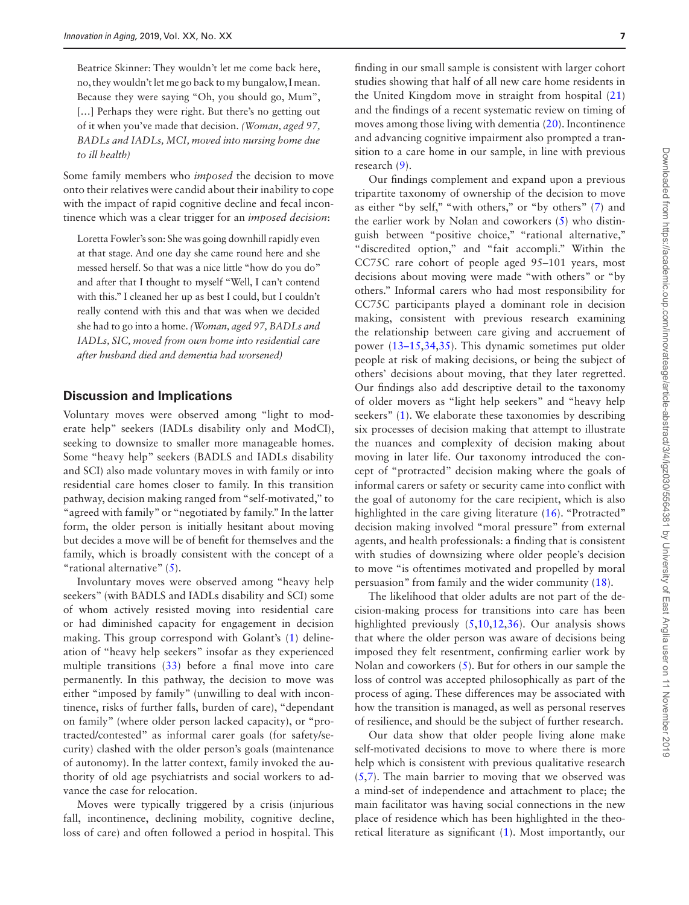Beatrice Skinner: They wouldn't let me come back here, no, they wouldn't let me go back to my bungalow, I mean. Because they were saying "Oh, you should go, Mum", [...] Perhaps they were right. But there's no getting out of it when you've made that decision. *(Woman, aged 97, BADLs and IADLs, MCI, moved into nursing home due to ill health)*

Some family members who *imposed* the decision to move onto their relatives were candid about their inability to cope with the impact of rapid cognitive decline and fecal incontinence which was a clear trigger for an *imposed decision*:

Loretta Fowler's son: She was going downhill rapidly even at that stage. And one day she came round here and she messed herself. So that was a nice little "how do you do" and after that I thought to myself "Well, I can't contend with this." I cleaned her up as best I could, but I couldn't really contend with this and that was when we decided she had to go into a home. *(Woman, aged 97, BADLs and IADLs, SIC, moved from own home into residential care after husband died and dementia had worsened)*

#### **Discussion and Implications**

Voluntary moves were observed among "light to moderate help" seekers (IADLs disability only and ModCI), seeking to downsize to smaller more manageable homes. Some "heavy help" seekers (BADLS and IADLs disability and SCI) also made voluntary moves in with family or into residential care homes closer to family. In this transition pathway, decision making ranged from "self-motivated," to "agreed with family" or "negotiated by family." In the latter form, the older person is initially hesitant about moving but decides a move will be of benefit for themselves and the family, which is broadly consistent with the concept of a "rational alternative" ([5](#page-7-4)).

Involuntary moves were observed among "heavy help seekers" (with BADLS and IADLs disability and SCI) some of whom actively resisted moving into residential care or had diminished capacity for engagement in decision making. This group correspond with Golant's ([1\)](#page-7-0) delineation of "heavy help seekers" insofar as they experienced multiple transitions [\(33](#page-8-17)) before a final move into care permanently. In this pathway, the decision to move was either "imposed by family" (unwilling to deal with incontinence, risks of further falls, burden of care), "dependant on family" (where older person lacked capacity), or "protracted/contested" as informal carer goals (for safety/security) clashed with the older person's goals (maintenance of autonomy). In the latter context, family invoked the authority of old age psychiatrists and social workers to advance the case for relocation.

Moves were typically triggered by a crisis (injurious fall, incontinence, declining mobility, cognitive decline, loss of care) and often followed a period in hospital. This

finding in our small sample is consistent with larger cohort studies showing that half of all new care home residents in the United Kingdom move in straight from hospital [\(21\)](#page-8-5) and the findings of a recent systematic review on timing of moves among those living with dementia [\(20](#page-8-4)). Incontinence and advancing cognitive impairment also prompted a transition to a care home in our sample, in line with previous research [\(9](#page-7-7)).

Our findings complement and expand upon a previous tripartite taxonomy of ownership of the decision to move as either "by self," "with others," or "by others" ([7\)](#page-7-6) and the earlier work by Nolan and coworkers [\(5](#page-7-4)) who distinguish between "positive choice," "rational alternative," "discredited option," and "fait accompli." Within the CC75C rare cohort of people aged 95–101 years, most decisions about moving were made "with others" or "by others." Informal carers who had most responsibility for CC75C participants played a dominant role in decision making, consistent with previous research examining the relationship between care giving and accruement of power (13–15[,34](#page-8-18)[,35\)](#page-8-19). This dynamic sometimes put older people at risk of making decisions, or being the subject of others' decisions about moving, that they later regretted. Our findings also add descriptive detail to the taxonomy of older movers as "light help seekers" and "heavy help seekers" ([1\)](#page-7-0). We elaborate these taxonomies by describing six processes of decision making that attempt to illustrate the nuances and complexity of decision making about moving in later life. Our taxonomy introduced the concept of "protracted" decision making where the goals of informal carers or safety or security came into conflict with the goal of autonomy for the care recipient, which is also highlighted in the care giving literature [\(16\)](#page-8-0). "Protracted" decision making involved "moral pressure" from external agents, and health professionals: a finding that is consistent with studies of downsizing where older people's decision to move "is oftentimes motivated and propelled by moral persuasion" from family and the wider community ([18\)](#page-8-2).

The likelihood that older adults are not part of the decision-making process for transitions into care has been highlighted previously ([5](#page-7-4),[10,](#page-7-8)[12](#page-7-9)[,36\)](#page-8-20). Our analysis shows that where the older person was aware of decisions being imposed they felt resentment, confirming earlier work by Nolan and coworkers [\(5\)](#page-7-4). But for others in our sample the loss of control was accepted philosophically as part of the process of aging. These differences may be associated with how the transition is managed, as well as personal reserves of resilience, and should be the subject of further research.

Our data show that older people living alone make self-motivated decisions to move to where there is more help which is consistent with previous qualitative research ([5](#page-7-4)[,7\)](#page-7-6). The main barrier to moving that we observed was a mind-set of independence and attachment to place; the main facilitator was having social connections in the new place of residence which has been highlighted in the theoretical literature as significant [\(1](#page-7-0)). Most importantly, our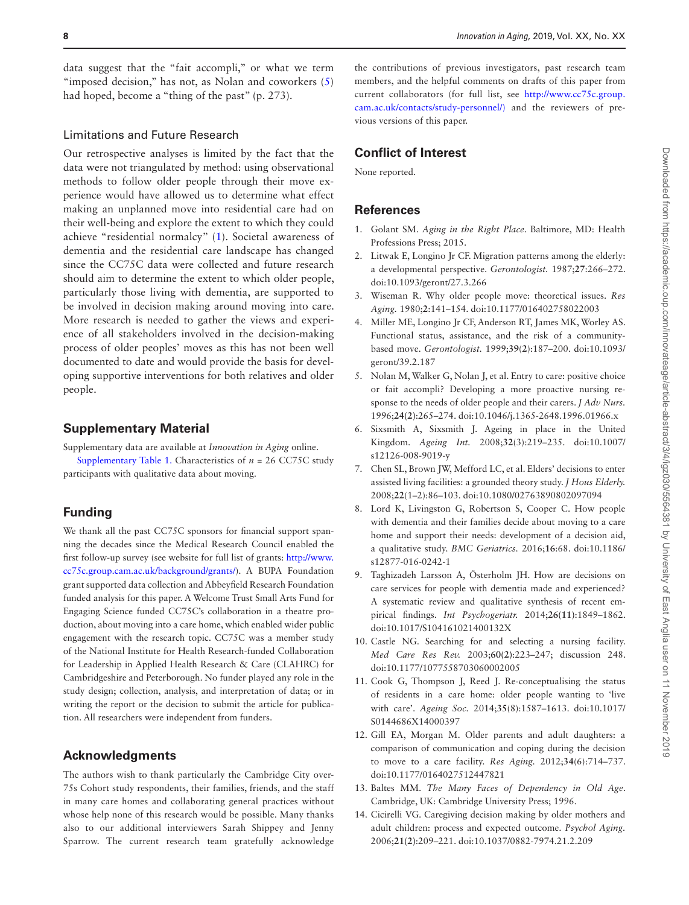data suggest that the "fait accompli," or what we term "imposed decision," has not, as Nolan and coworkers [\(5\)](#page-7-4) had hoped, become a "thing of the past" (p. 273).

## Limitations and Future Research

Our retrospective analyses is limited by the fact that the data were not triangulated by method: using observational methods to follow older people through their move experience would have allowed us to determine what effect making an unplanned move into residential care had on their well-being and explore the extent to which they could achieve "residential normalcy" ([1\)](#page-7-0). Societal awareness of dementia and the residential care landscape has changed since the CC75C data were collected and future research should aim to determine the extent to which older people, particularly those living with dementia, are supported to be involved in decision making around moving into care. More research is needed to gather the views and experience of all stakeholders involved in the decision-making process of older peoples' moves as this has not been well documented to date and would provide the basis for developing supportive interventions for both relatives and older people.

# **Supplementary Material**

Supplementary data are available at *Innovation in Aging* online. [Supplementary Table 1.](http://academic.oup.com/innovateage/article-lookup/doi/10.1093/geroni/igz030#supplementary-data) Characteristics of *n* = 26 CC75C study participants with qualitative data about moving.

# **Funding**

We thank all the past CC75C sponsors for financial support spanning the decades since the Medical Research Council enabled the first follow-up survey (see website for full list of grants: [http://www.](http://www.cc75c.group.cam.ac.uk/background/grants/) [cc75c.group.cam.ac.uk/background/grants/\)](http://www.cc75c.group.cam.ac.uk/background/grants/). A BUPA Foundation grant supported data collection and Abbeyfield Research Foundation funded analysis for this paper. A Welcome Trust Small Arts Fund for Engaging Science funded CC75C's collaboration in a theatre production, about moving into a care home, which enabled wider public engagement with the research topic. CC75C was a member study of the National Institute for Health Research-funded Collaboration for Leadership in Applied Health Research & Care (CLAHRC) for Cambridgeshire and Peterborough. No funder played any role in the study design; collection, analysis, and interpretation of data; or in writing the report or the decision to submit the article for publication. All researchers were independent from funders.

## **Acknowledgments**

The authors wish to thank particularly the Cambridge City over-75s Cohort study respondents, their families, friends, and the staff in many care homes and collaborating general practices without whose help none of this research would be possible. Many thanks also to our additional interviewers Sarah Shippey and Jenny Sparrow. The current research team gratefully acknowledge

the contributions of previous investigators, past research team members, and the helpful comments on drafts of this paper from current collaborators (for full list, see [http://www.cc75c.group.](http://www.cc75c.group.cam.ac.uk/contacts/study-personnel/)﻿) [cam.ac.uk/contacts/study-personnel/\)](http://www.cc75c.group.cam.ac.uk/contacts/study-personnel/)﻿) and the reviewers of previous versions of this paper.

# **Conflict of Interest**

None reported.

#### **References**

- <span id="page-7-0"></span>1. Golant SM. *Aging in the Right Place*. Baltimore, MD: Health Professions Press; 2015.
- <span id="page-7-1"></span>2. Litwak E, Longino Jr CF. Migration patterns among the elderly: a developmental perspective. *Gerontologist.* 1987;**27**:266–272. doi:10.1093/geront/27.3.266
- <span id="page-7-2"></span>3. Wiseman R. Why older people move: theoretical issues. *Res Aging.* 1980;**2**:141–154. doi:10.1177/016402758022003
- <span id="page-7-3"></span>4. Miller ME, Longino Jr CF, Anderson RT, James MK, Worley AS. Functional status, assistance, and the risk of a communitybased move. *Gerontologist.* 1999;**39**(**2**):187–200. doi:10.1093/ geront/39.2.187
- <span id="page-7-4"></span>5. Nolan M, Walker G, Nolan J, et al. Entry to care: positive choice or fait accompli? Developing a more proactive nursing response to the needs of older people and their carers. *J Adv Nurs.* 1996;**24(2)**:265–274. doi:10.1046/j.1365-2648.1996.01966.x
- <span id="page-7-5"></span>6. Sixsmith A, Sixsmith J. Ageing in place in the United Kingdom. *Ageing Int.* 2008;**32**(3):219–235. doi:10.1007/ s12126-008-9019-y
- <span id="page-7-6"></span>7. Chen SL, Brown JW, Mefford LC, et al. Elders' decisions to enter assisted living facilities: a grounded theory study. *J Hous Elderly.* 2008;**22**(1–2):86–103. doi:10.1080/02763890802097094
- 8. Lord K, Livingston G, Robertson S, Cooper C. How people with dementia and their families decide about moving to a care home and support their needs: development of a decision aid, a qualitative study. *BMC Geriatrics.* 2016;**16**:68. doi:10.1186/ s12877-016-0242-1
- <span id="page-7-7"></span>9. Taghizadeh Larsson A, Österholm JH. How are decisions on care services for people with dementia made and experienced? A systematic review and qualitative synthesis of recent empirical findings. *Int Psychogeriatr.* 2014;**26(11)**:1849–1862. doi:10.1017/S104161021400132X
- <span id="page-7-8"></span>10. Castle NG. Searching for and selecting a nursing facility. *Med Care Res Rev.* 2003;**60(2)**:223–247; discussion 248. doi:10.1177/1077558703060002005
- 11. Cook G, Thompson J, Reed J. Re-conceptualising the status of residents in a care home: older people wanting to 'live with care'. *Ageing Soc.* 2014;**35**(8):1587–1613. doi:10.1017/ S0144686X14000397
- <span id="page-7-9"></span>12. Gill EA, Morgan M. Older parents and adult daughters: a comparison of communication and coping during the decision to move to a care facility. *Res Aging.* 2012;**34**(6):714–737. doi:10.1177/0164027512447821
- 13. Baltes MM. *The Many Faces of Dependency in Old Age*. Cambridge, UK: Cambridge University Press; 1996.
- 14. Cicirelli VG. Caregiving decision making by older mothers and adult children: process and expected outcome. *Psychol Aging.* 2006;**21(2)**:209–221. doi:10.1037/0882-7974.21.2.209